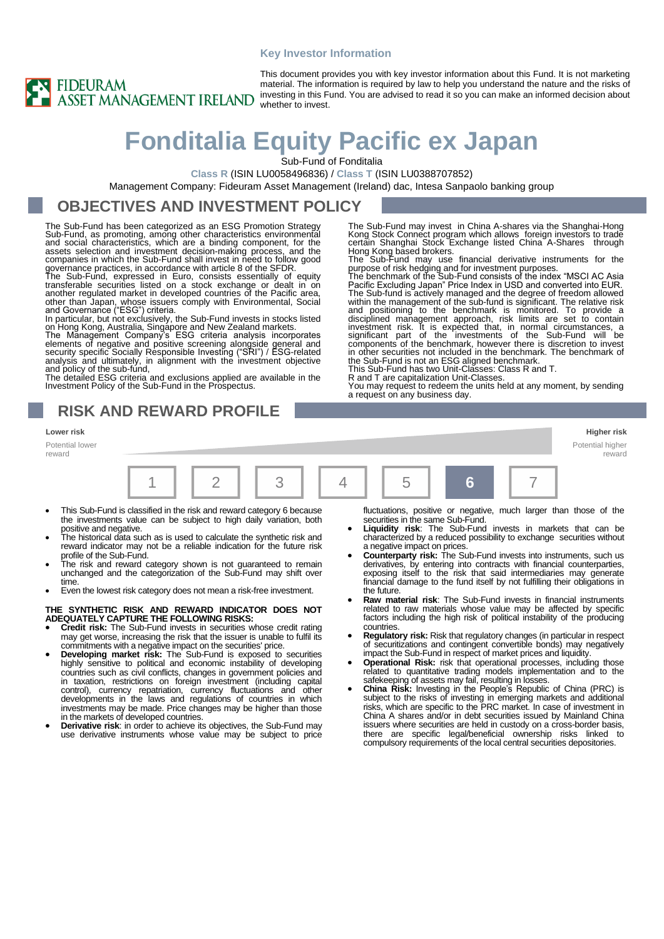#### **Key Investor Information**



This document provides you with key investor information about this Fund. It is not marketing material. The information is required by law to help you understand the nature and the risks of investing in this Fund. You are advised to read it so you can make an informed decision about

# **Fonditalia Equity Pacific ex Japan**

Sub-Fund of Fonditalia

**Class R** (ISIN LU0058496836) / **Class T** (ISIN LU0388707852)

Management Company: Fideuram Asset Management (Ireland) dac, Intesa Sanpaolo banking group

### **OBJECTIVES AND INVESTMENT POLICY**

The Sub-Fund has been categorized as an ESG Promotion Strategy Sub-Fund, as promoting, among other characteristics environmental<br>and social characteristics, which are a binding component, for the<br>assets selection and investment decision-making process, and the<br>companies in which the S governance practices, in accordance with article 8 of the SFDR.

The Sub-Fund, expressed in Euro, consists essentially of equity transferable securities listed on a stock exchange or dealt in on another regulated market in developed countries of the Pacific area, other than Japan, whose issuers comply with Environmental, Social and Governance ("ESG") criteria. In particular, but not exclusively, the Sub-Fund invests in stocks listed

on Hong Kong, Australia, Singapore and New Zealand markets.<br>The Management Company's ESG criteria analysis incorporates<br>elements of negative and positive screening alongside general and<br>security specific Socially Responsib

The detailed ESG criteria and exclusions applied are available in the Investment Policy of the Sub-Fund in the Prospectus.

**RISK AND REWARD PROFILE**

**Lower risk Higher risk**

Potential lower reward



- This Sub-Fund is classified in the risk and reward category 6 because the investments value can be subject to high daily variation, both
- positive and negative. The historical data such as is used to calculate the synthetic risk and reward indicator may not be a reliable indication for the future risk
- profile of the Sub-Fund. The risk and reward category shown is not guaranteed to remain unchanged and the categorization of the Sub-Fund may shift over time.
- Even the lowest risk category does not mean a risk-free investment.

#### **THE SYNTHETIC RISK AND REWARD INDICATOR DOES NOT ADEQUATELY CAPTURE THE FOLLOWING RISKS:**

- **Credit risk:** The Sub-Fund invests in securities whose credit rating may get worse, increasing the risk that the issuer is unable to fulfil its commitments with a negative impact on the securities' price. • **Developing market risk:** The Sub-Fund is exposed to securities
- highly sensitive to political and economic instability of developing countries such as civil conflicts, changes in government policies and in taxation, restrictions on foreign investment (including capital control), currency repatriation, currency fluctuations and other developments in the laws and regulations of countries in which investments may be made. Price changes may be higher than those in the markets of developed countries.
- **Derivative risk**: in order to achieve its objectives, the Sub-Fund may use derivative instruments whose value may be subject to price

fluctuations, positive or negative, much larger than those of the securities in the same Sub-Fund.

Potential higher reward

• **Liquidity risk**: The Sub-Fund invests in markets that can be characterized by a reduced possibility to exchange securities without

The Sub-Fund may invest in China A-shares via the Shanghai-Hong Kong Stock Connect program which allows foreign investors to trade certain Shanghai Stock Exchange listed China A-Shares through Hong Kong based brokers. The Sub-Fund may use financial derivative instruments for the

purpose of risk hedging and for investment purposes.<br>The benchmark of the Sub-Fund consists of the index "MSCI AC Asia<br>Pacific Excluding Japan" Price Index in USD and converted into EUR.<br>The Sub-fund is actively managed an

within the management of the sub-fund is significant. The relative risk<br>and positioning to the benchmark is monitored. To provide a<br>disciplined management approach, risk limits are set to contain<br>investment risk. It is exp

components of the benchmark, however there is discretion to invest in other securities not included in the benchmark. The benchmark of the Sub-Fund is not an ESG aligned benchmark.

You may request to redeem the units held at any moment, by sending a request on any business day.

This Sub-Fund has two Unit-Classes: Class R and T.

R and T are capitalization Unit-Classes.

- a negative impact on prices. **Counterparty risk:** The Sub-Fund invests into instruments, such us derivatives, by entering into contracts with financial counterparties, exposing itself to the risk that said intermediaries may generate financial damage to the fund itself by not fulfilling their obligations in the future.
- **Raw material risk**: The Sub-Fund invests in financial instruments related to raw materials whose value may be affected by specific factors including the high risk of political instability of the producing countries.
- **Regulatory risk:** Risk that regulatory changes (in particular in respect of securitizations and contingent convertible bonds) may negatively impact the Sub-Fund in respect of market prices and liquidity.
- **Operational Risk:** risk that operational processes, including those related to quantitative trading models implementation and to the
- safekeeping of assets may fail, resulting in losses. **China Risk:** Investing in the People's Republic of China (PRC) is subject to the risks of investing in emerging markets and additional risks, which are specific to the PRC market. In case of investment in China A shares and/or in debt securities issued by Mainland China issuers where securities are held in custody on a cross-border basis, there are specific legal/beneficial ownership risks linked to compulsory requirements of the local central securities depositories.